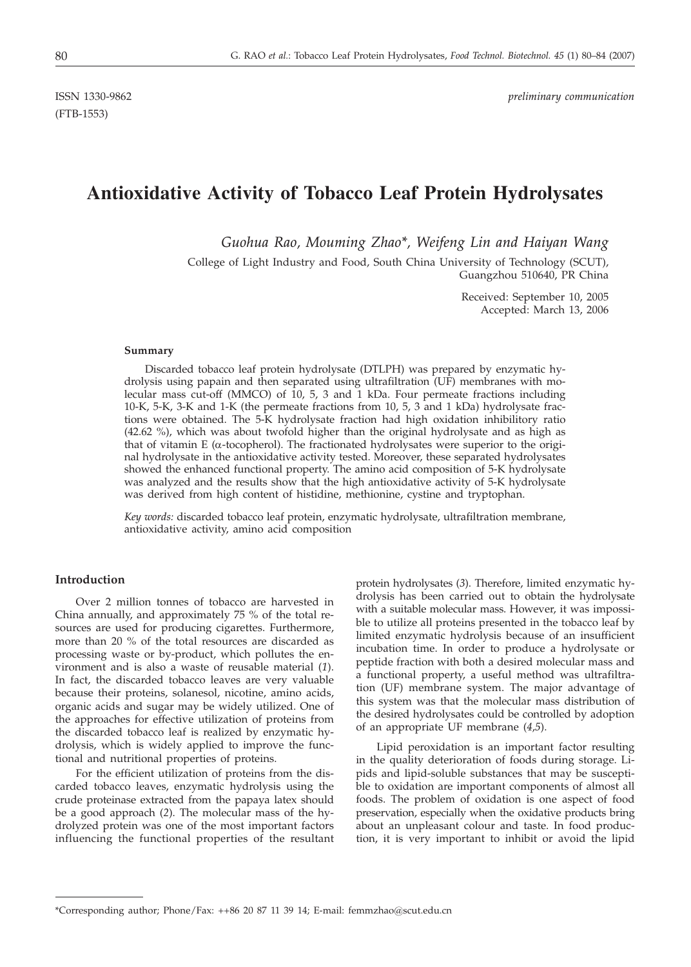(FTB-1553)

ISSN 1330-9862 *preliminary communication*

# **Antioxidative Activity of Tobacco Leaf Protein Hydrolysates**

*Guohua Rao, Mouming Zhao\*, Weifeng Lin and Haiyan Wang*

College of Light Industry and Food, South China University of Technology (SCUT), Guangzhou 510640, PR China

> Received: September 10, 2005 Accepted: March 13, 2006

#### **Summary**

Discarded tobacco leaf protein hydrolysate (DTLPH) was prepared by enzymatic hydrolysis using papain and then separated using ultrafiltration (UF) membranes with molecular mass cut-off (MMCO) of 10, 5, 3 and 1 kDa. Four permeate fractions including 10-K, 5-K, 3-K and 1-K (the permeate fractions from 10, 5, 3 and 1 kDa) hydrolysate fractions were obtained. The 5-K hydrolysate fraction had high oxidation inhibilitory ratio (42.62 %), which was about twofold higher than the original hydrolysate and as high as that of vitamin E (a-tocopherol). The fractionated hydrolysates were superior to the original hydrolysate in the antioxidative activity tested. Moreover, these separated hydrolysates showed the enhanced functional property. The amino acid composition of 5-K hydrolysate was analyzed and the results show that the high antioxidative activity of 5-K hydrolysate was derived from high content of histidine, methionine, cystine and tryptophan.

*Key words:* discarded tobacco leaf protein, enzymatic hydrolysate, ultrafiltration membrane, antioxidative activity, amino acid composition

## **Introduction**

Over 2 million tonnes of tobacco are harvested in China annually, and approximately 75 % of the total resources are used for producing cigarettes. Furthermore, more than 20 % of the total resources are discarded as processing waste or by-product, which pollutes the environment and is also a waste of reusable material (*1*). In fact, the discarded tobacco leaves are very valuable because their proteins, solanesol, nicotine, amino acids, organic acids and sugar may be widely utilized. One of the approaches for effective utilization of proteins from the discarded tobacco leaf is realized by enzymatic hydrolysis, which is widely applied to improve the functional and nutritional properties of proteins.

For the efficient utilization of proteins from the discarded tobacco leaves, enzymatic hydrolysis using the crude proteinase extracted from the papaya latex should be a good approach (*2*). The molecular mass of the hydrolyzed protein was one of the most important factors influencing the functional properties of the resultant protein hydrolysates (*3*). Therefore, limited enzymatic hydrolysis has been carried out to obtain the hydrolysate with a suitable molecular mass. However, it was impossible to utilize all proteins presented in the tobacco leaf by limited enzymatic hydrolysis because of an insufficient incubation time. In order to produce a hydrolysate or peptide fraction with both a desired molecular mass and a functional property, a useful method was ultrafiltration (UF) membrane system. The major advantage of this system was that the molecular mass distribution of the desired hydrolysates could be controlled by adoption of an appropriate UF membrane (*4*,*5*).

Lipid peroxidation is an important factor resulting in the quality deterioration of foods during storage. Lipids and lipid-soluble substances that may be susceptible to oxidation are important components of almost all foods. The problem of oxidation is one aspect of food preservation, especially when the oxidative products bring about an unpleasant colour and taste. In food production, it is very important to inhibit or avoid the lipid

<sup>\*</sup>Corresponding author; Phone/Fax: ++86 20 87 11 39 14; E-mail: femmzhao@scut.edu.cn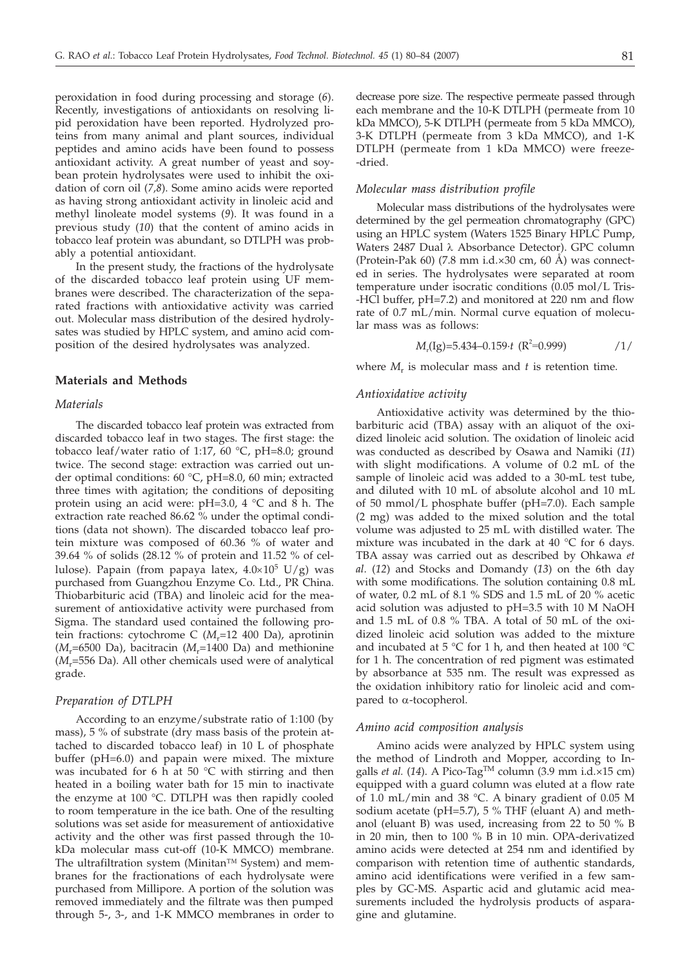peroxidation in food during processing and storage (*6*). Recently, investigations of antioxidants on resolving lipid peroxidation have been reported. Hydrolyzed proteins from many animal and plant sources, individual peptides and amino acids have been found to possess antioxidant activity. A great number of yeast and soybean protein hydrolysates were used to inhibit the oxidation of corn oil (*7,8*). Some amino acids were reported as having strong antioxidant activity in linoleic acid and methyl linoleate model systems (*9*). It was found in a previous study (*10*) that the content of amino acids in tobacco leaf protein was abundant, so DTLPH was probably a potential antioxidant.

In the present study, the fractions of the hydrolysate of the discarded tobacco leaf protein using UF membranes were described. The characterization of the separated fractions with antioxidative activity was carried out. Molecular mass distribution of the desired hydrolysates was studied by HPLC system, and amino acid composition of the desired hydrolysates was analyzed.

## **Materials and Methods**

## *Materials*

The discarded tobacco leaf protein was extracted from discarded tobacco leaf in two stages. The first stage: the tobacco leaf/water ratio of 1:17, 60 °C, pH=8.0; ground twice. The second stage: extraction was carried out under optimal conditions: 60 °C, pH=8.0, 60 min; extracted three times with agitation; the conditions of depositing protein using an acid were: pH=3.0, 4 °C and 8 h. The extraction rate reached 86.62 % under the optimal conditions (data not shown). The discarded tobacco leaf protein mixture was composed of 60.36 % of water and 39.64 % of solids (28.12 % of protein and 11.52 % of cellulose). Papain (from papaya latex,  $4.0\times10^5$  U/g) was purchased from Guangzhou Enzyme Co. Ltd., PR China. Thiobarbituric acid (TBA) and linoleic acid for the measurement of antioxidative activity were purchased from Sigma. The standard used contained the following protein fractions: cytochrome C (*M<sub>r</sub>*=12 400 Da), aprotinin (*M*r=6500 Da), bacitracin (*M*r=1400 Da) and methionine (*M*r=556 Da). All other chemicals used were of analytical grade.

#### *Preparation of DTLPH*

According to an enzyme/substrate ratio of 1:100 (by mass), 5 % of substrate (dry mass basis of the protein attached to discarded tobacco leaf) in 10 L of phosphate buffer (pH=6.0) and papain were mixed. The mixture was incubated for 6 h at 50 °C with stirring and then heated in a boiling water bath for 15 min to inactivate the enzyme at 100 °C. DTLPH was then rapidly cooled to room temperature in the ice bath. One of the resulting solutions was set aside for measurement of antioxidative activity and the other was first passed through the 10 kDa molecular mass cut-off (10-K MMCO) membrane. The ultrafiltration system (Minitan™ System) and membranes for the fractionations of each hydrolysate were purchased from Millipore. A portion of the solution was removed immediately and the filtrate was then pumped through 5-, 3-, and 1-K MMCO membranes in order to

decrease pore size. The respective permeate passed through each membrane and the 10-K DTLPH (permeate from 10 kDa MMCO), 5-K DTLPH (permeate from 5 kDa MMCO), 3-K DTLPH (permeate from 3 kDa MMCO), and 1-K DTLPH (permeate from 1 kDa MMCO) were freeze- -dried.

## *Molecular mass distribution profile*

Molecular mass distributions of the hydrolysates were determined by the gel permeation chromatography (GPC) using an HPLC system (Waters 1525 Binary HPLC Pump, Waters 2487 Dual λ Absorbance Detector). GPC column (Protein-Pak 60) (7.8 mm i.d. $\times$ 30 cm, 60 Å) was connected in series. The hydrolysates were separated at room temperature under isocratic conditions (0.05 mol/L Tris- -HCl buffer, pH=7.2) and monitored at 220 nm and flow rate of 0.7 mL/min. Normal curve equation of molecular mass was as follows:

$$
M_{r}(Ig)=5.434-0.159 \cdot t \ (R^{2}=0.999) \qquad \qquad /1/
$$

where  $M_r$  is molecular mass and  $t$  is retention time.

#### *Antioxidative activity*

Antioxidative activity was determined by the thiobarbituric acid (TBA) assay with an aliquot of the oxidized linoleic acid solution. The oxidation of linoleic acid was conducted as described by Osawa and Namiki (*11*) with slight modifications. A volume of 0.2 mL of the sample of linoleic acid was added to a 30-mL test tube, and diluted with 10 mL of absolute alcohol and 10 mL of 50 mmol/L phosphate buffer (pH=7.0). Each sample (2 mg) was added to the mixed solution and the total volume was adjusted to 25 mL with distilled water. The mixture was incubated in the dark at 40 °C for 6 days. TBA assay was carried out as described by Ohkawa *et al*. (*12*) and Stocks and Domandy (*13*) on the 6th day with some modifications. The solution containing 0.8 mL of water, 0.2 mL of 8.1 % SDS and 1.5 mL of 20 % acetic acid solution was adjusted to pH=3.5 with 10 M NaOH and 1.5 mL of 0.8 % TBA. A total of 50 mL of the oxidized linoleic acid solution was added to the mixture and incubated at 5 °C for 1 h, and then heated at 100 °C for 1 h. The concentration of red pigment was estimated by absorbance at 535 nm. The result was expressed as the oxidation inhibitory ratio for linoleic acid and compared to  $\alpha$ -tocopherol.

#### *Amino acid composition analysis*

Amino acids were analyzed by HPLC system using the method of Lindroth and Mopper, according to Ingalls *et al.* (14). A Pico-Tag™ column (3.9 mm i.d.×15 cm) equipped with a guard column was eluted at a flow rate of 1.0 mL/min and 38 °C. A binary gradient of 0.05 M sodium acetate ( $pH=5.7$ ), 5 % THF (eluant A) and methanol (eluant B) was used, increasing from 22 to 50 % B in 20 min, then to 100 % B in 10 min. OPA-derivatized amino acids were detected at 254 nm and identified by comparison with retention time of authentic standards, amino acid identifications were verified in a few samples by GC-MS. Aspartic acid and glutamic acid measurements included the hydrolysis products of asparagine and glutamine.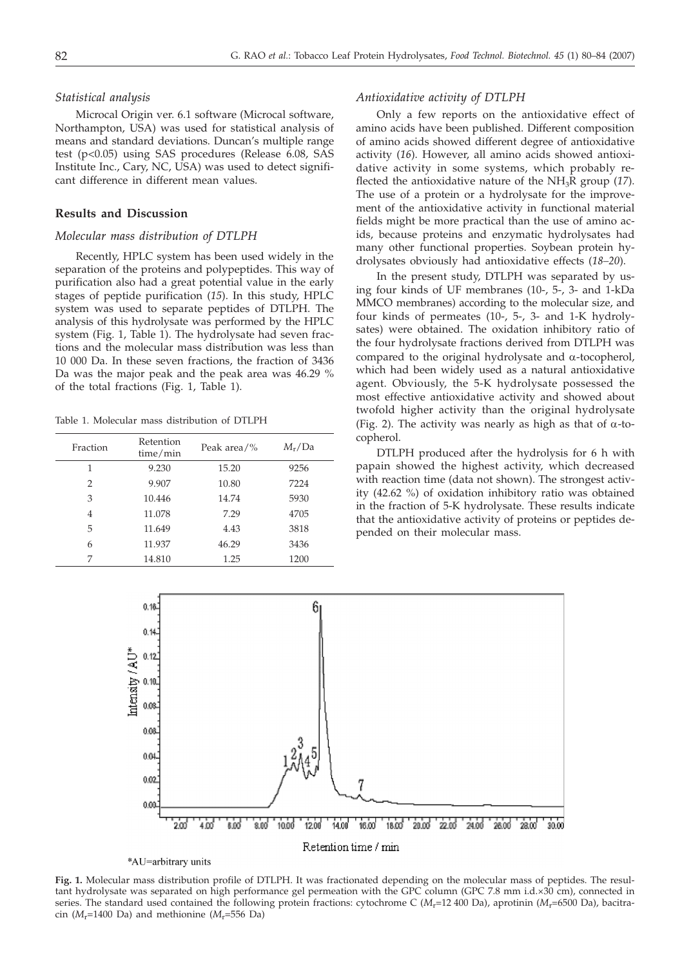# *Statistical analysis*

Microcal Origin ver. 6.1 software (Microcal software, Northampton, USA) was used for statistical analysis of means and standard deviations. Duncan's multiple range test (p<0.05) using SAS procedures (Release 6.08, SAS Institute Inc., Cary, NC, USA) was used to detect significant difference in different mean values.

# **Results and Discussion**

## *Molecular mass distribution of DTLPH*

Recently, HPLC system has been used widely in the separation of the proteins and polypeptides. This way of purification also had a great potential value in the early stages of peptide purification (*15*). In this study, HPLC system was used to separate peptides of DTLPH. The analysis of this hydrolysate was performed by the HPLC system (Fig. 1, Table 1). The hydrolysate had seven fractions and the molecular mass distribution was less than 10 000 Da. In these seven fractions, the fraction of 3436 Da was the major peak and the peak area was 46.29 % of the total fractions (Fig. 1, Table 1).

Table 1. Molecular mass distribution of DTLPH

| Fraction | Retention<br>time/min | Peak area/% | $M_r/Da$ |
|----------|-----------------------|-------------|----------|
| 1        | 9.230                 | 15.20       | 9256     |
| 2        | 9.907                 | 10.80       | 7224     |
| 3        | 10.446                | 14.74       | 5930     |
| 4        | 11.078                | 7.29        | 4705     |
| 5        | 11.649                | 4.43        | 3818     |
| 6        | 11.937                | 46.29       | 3436     |
| 7        | 14.810                | 1.25        | 1200     |
|          |                       |             |          |

## *Antioxidative activity of DTLPH*

Only a few reports on the antioxidative effect of amino acids have been published. Different composition of amino acids showed different degree of antioxidative activity (*16*). However, all amino acids showed antioxidative activity in some systems, which probably reflected the antioxidative nature of the  $NH<sub>3</sub>R$  group (17). The use of a protein or a hydrolysate for the improvement of the antioxidative activity in functional material fields might be more practical than the use of amino acids, because proteins and enzymatic hydrolysates had many other functional properties. Soybean protein hydrolysates obviously had antioxidative effects (*18–20*).

In the present study, DTLPH was separated by using four kinds of UF membranes (10-, 5-, 3- and 1-kDa MMCO membranes) according to the molecular size, and four kinds of permeates (10-, 5-, 3- and 1-K hydrolysates) were obtained. The oxidation inhibitory ratio of the four hydrolysate fractions derived from DTLPH was compared to the original hydrolysate and  $\alpha$ -tocopherol, which had been widely used as a natural antioxidative agent. Obviously, the 5-K hydrolysate possessed the most effective antioxidative activity and showed about twofold higher activity than the original hydrolysate (Fig. 2). The activity was nearly as high as that of  $\alpha$ -tocopherol.

DTLPH produced after the hydrolysis for 6 h with papain showed the highest activity, which decreased with reaction time (data not shown). The strongest activity (42.62 %) of oxidation inhibitory ratio was obtained in the fraction of 5-K hydrolysate. These results indicate that the antioxidative activity of proteins or peptides depended on their molecular mass.



**Fig. 1.** Molecular mass distribution profile of DTLPH. It was fractionated depending on the molecular mass of peptides. The resultant hydrolysate was separated on high performance gel permeation with the GPC column (GPC 7.8 mm i.d.×30 cm), connected in series. The standard used contained the following protein fractions: cytochrome C ( $M_r$ =12 400 Da), aprotinin ( $M_r$ =6500 Da), bacitracin ( $M_r$ =1400 Da) and methionine ( $M_r$ =556 Da)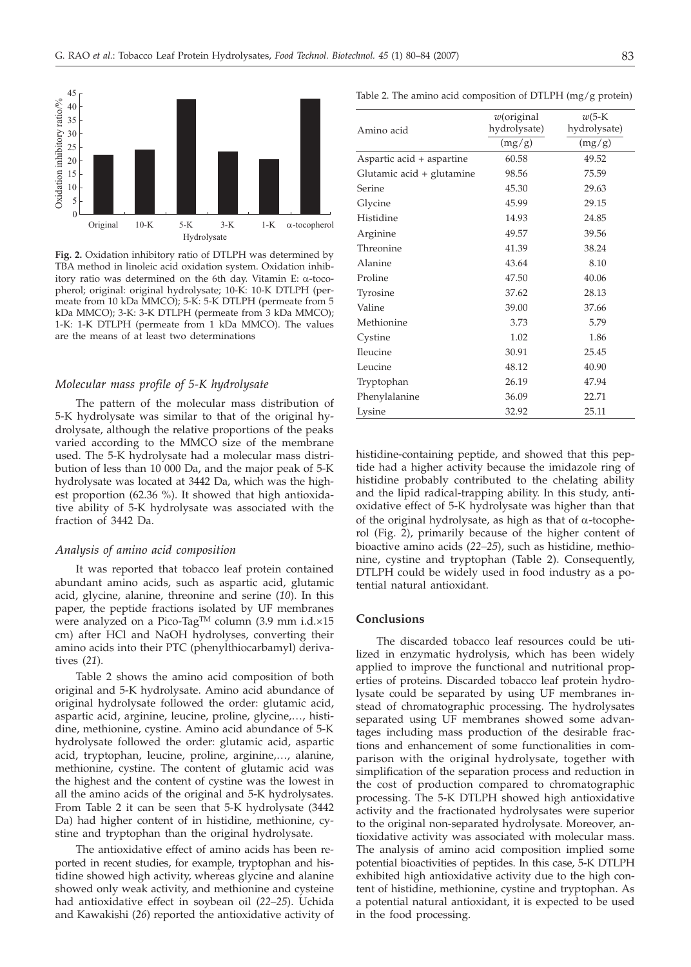

**Fig. 2.** Oxidation inhibitory ratio of DTLPH was determined by TBA method in linoleic acid oxidation system. Oxidation inhibitory ratio was determined on the 6th day. Vitamin E:  $\alpha$ -tocopherol; original: original hydrolysate; 10-K: 10-K DTLPH (permeate from 10 kDa MMCO); 5-K: 5-K DTLPH (permeate from 5 kDa MMCO); 3-K: 3-K DTLPH (permeate from 3 kDa MMCO); 1-K: 1-K DTLPH (permeate from 1 kDa MMCO). The values are the means of at least two determinations

# *Molecular mass profile of 5-K hydrolysate*

The pattern of the molecular mass distribution of 5-K hydrolysate was similar to that of the original hydrolysate, although the relative proportions of the peaks varied according to the MMCO size of the membrane used. The 5-K hydrolysate had a molecular mass distribution of less than 10 000 Da, and the major peak of 5-K hydrolysate was located at 3442 Da, which was the highest proportion (62.36 %). It showed that high antioxidative ability of 5-K hydrolysate was associated with the fraction of 3442 Da.

#### *Analysis of amino acid composition*

It was reported that tobacco leaf protein contained abundant amino acids, such as aspartic acid, glutamic acid, glycine, alanine, threonine and serine (*10*). In this paper, the peptide fractions isolated by UF membranes were analyzed on a Pico-Tag™ column (3.9 mm i.d.×15 cm) after HCl and NaOH hydrolyses, converting their amino acids into their PTC (phenylthiocarbamyl) derivatives (*21*).

Table 2 shows the amino acid composition of both original and 5-K hydrolysate. Amino acid abundance of original hydrolysate followed the order: glutamic acid, aspartic acid, arginine, leucine, proline, glycine,…, histidine, methionine, cystine. Amino acid abundance of 5-K hydrolysate followed the order: glutamic acid, aspartic acid, tryptophan, leucine, proline, arginine,…, alanine, methionine, cystine. The content of glutamic acid was the highest and the content of cystine was the lowest in all the amino acids of the original and 5-K hydrolysates. From Table 2 it can be seen that 5-K hydrolysate (3442 Da) had higher content of in histidine, methionine, cystine and tryptophan than the original hydrolysate.

The antioxidative effect of amino acids has been reported in recent studies, for example, tryptophan and histidine showed high activity, whereas glycine and alanine showed only weak activity, and methionine and cysteine had antioxidative effect in soybean oil (*22–25*). Uchida and Kawakishi (*26*) reported the antioxidative activity of

Table 2. The amino acid composition of DTLPH (mg/g protein)

| Amino acid                | $w$ (original<br>hydrolysate) | $w$ (5- $K$<br>hydrolysate) |
|---------------------------|-------------------------------|-----------------------------|
|                           | (mg/g)                        | (mg/g)                      |
| Aspartic acid + aspartine | 60.58                         | 49.52                       |
| Glutamic acid + glutamine | 98.56                         | 75.59                       |
| Serine                    | 45.30                         | 29.63                       |
| Glycine                   | 45.99                         | 29.15                       |
| Histidine                 | 14.93                         | 24.85                       |
| Arginine                  | 49.57                         | 39.56                       |
| Threonine                 | 41.39                         | 38.24                       |
| Alanine                   | 43.64                         | 8.10                        |
| Proline                   | 47.50                         | 40.06                       |
| Tyrosine                  | 37.62                         | 28.13                       |
| Valine                    | 39.00                         | 37.66                       |
| Methionine                | 3.73                          | 5.79                        |
| Cystine                   | 1.02                          | 1.86                        |
| Ileucine                  | 30.91                         | 25.45                       |
| Leucine                   | 48.12                         | 40.90                       |
| Tryptophan                | 26.19                         | 47.94                       |
| Phenylalanine             | 36.09                         | 22.71                       |
| Lysine                    | 32.92                         | 25.11                       |

histidine-containing peptide, and showed that this peptide had a higher activity because the imidazole ring of histidine probably contributed to the chelating ability and the lipid radical-trapping ability. In this study, antioxidative effect of 5-K hydrolysate was higher than that of the original hydrolysate, as high as that of  $\alpha$ -tocopherol (Fig. 2), primarily because of the higher content of bioactive amino acids (*22–25*), such as histidine, methionine, cystine and tryptophan (Table 2). Consequently, DTLPH could be widely used in food industry as a potential natural antioxidant.

## **Conclusions**

The discarded tobacco leaf resources could be utilized in enzymatic hydrolysis, which has been widely applied to improve the functional and nutritional properties of proteins. Discarded tobacco leaf protein hydrolysate could be separated by using UF membranes instead of chromatographic processing. The hydrolysates separated using UF membranes showed some advantages including mass production of the desirable fractions and enhancement of some functionalities in comparison with the original hydrolysate, together with simplification of the separation process and reduction in the cost of production compared to chromatographic processing. The 5-K DTLPH showed high antioxidative activity and the fractionated hydrolysates were superior to the original non-separated hydrolysate. Moreover, antioxidative activity was associated with molecular mass. The analysis of amino acid composition implied some potential bioactivities of peptides. In this case, 5-K DTLPH exhibited high antioxidative activity due to the high content of histidine, methionine, cystine and tryptophan. As a potential natural antioxidant, it is expected to be used in the food processing.